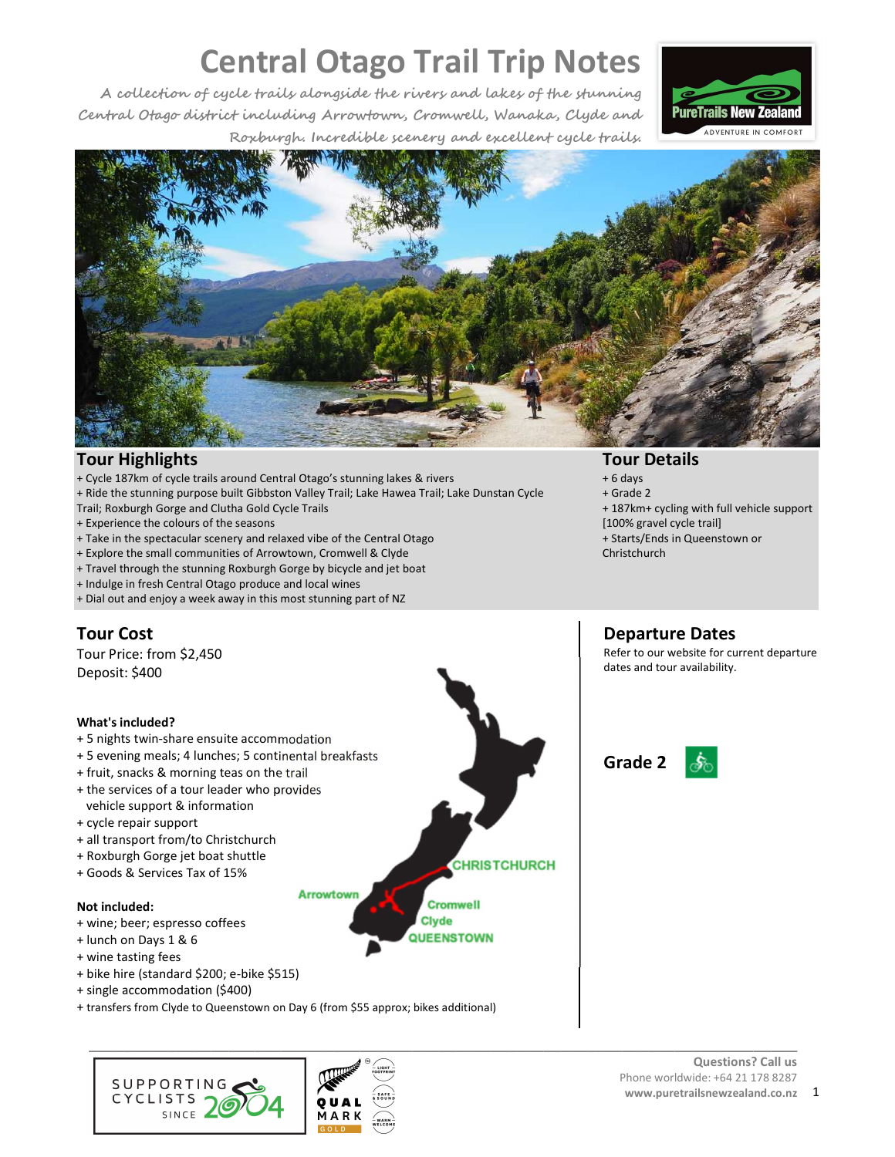**A collection of cycle trails alongside the rivers and lakes of the stunning Central Otago district including Arrowtown, Cromwell, Wanaka, Clyde and Roxburgh. Incredible scenery and excellent cycle trails.** 





## **Tour Highlights**

- + Cycle 187km of cycle trails around Central Otago's stunning lakes & rivers
- + Ride the stunning purpose built Gibbston Valley Trail; Lake Hawea Trail; Lake Dunstan Cycle
- Trail; Roxburgh Gorge and Clutha Gold Cycle Trails
- + Experience the colours of the seasons
- + Take in the spectacular scenery and relaxed vibe of the Central Otago
- + Explore the small communities of Arrowtown, Cromwell & Clyde
- + Travel through the stunning Roxburgh Gorge by bicycle and jet boat
- + Indulge in fresh Central Otago produce and local wines
- + Dial out and enjoy a week away in this most stunning part of NZ

## **Tour Cost**

Tour Price: from \$2,450 Deposit: \$400

### **What's included?**

- + 5 nights twin-share ensuite accommodation
- + 5 evening meals; 4 lunches; 5 continental breakfasts
- + fruit, snacks & morning teas on the trail
- + the services of a tour leader who provides vehicle support & information
- + cycle repair support
- + all transport from/to Christchurch
- + Roxburgh Gorge jet boat shuttle
- + Goods & Services Tax of 15%

#### **Not included:**

- + wine; beer; espresso coffees
- + lunch on Days 1 & 6
- + wine tasting fees
- + bike hire (standard \$200; e-bike \$515)
- + single accommodation (\$400)
- + transfers from Clyde to Queenstown on Day 6 (from \$55 approx; bikes additional)

**Arrowtown** 

**AARK** 





**CHRISTCHURCH** 

**Cromwell Clyde QUEENSTOWN**  **Tour Details** 

- + 6 days
- + Grade 2
- + 187km+ cycling with full vehicle support [100% gravel cycle trail]
- + Starts/Ends in Queenstown or
- **Christchurch**

## **Departure Dates**

Refer to our website for current departure dates and tour availability.



#### **Questions? Call us**  Phone worldwide: +64 21 178 8287 **www.puretrailsnewzealand.co.nz** 1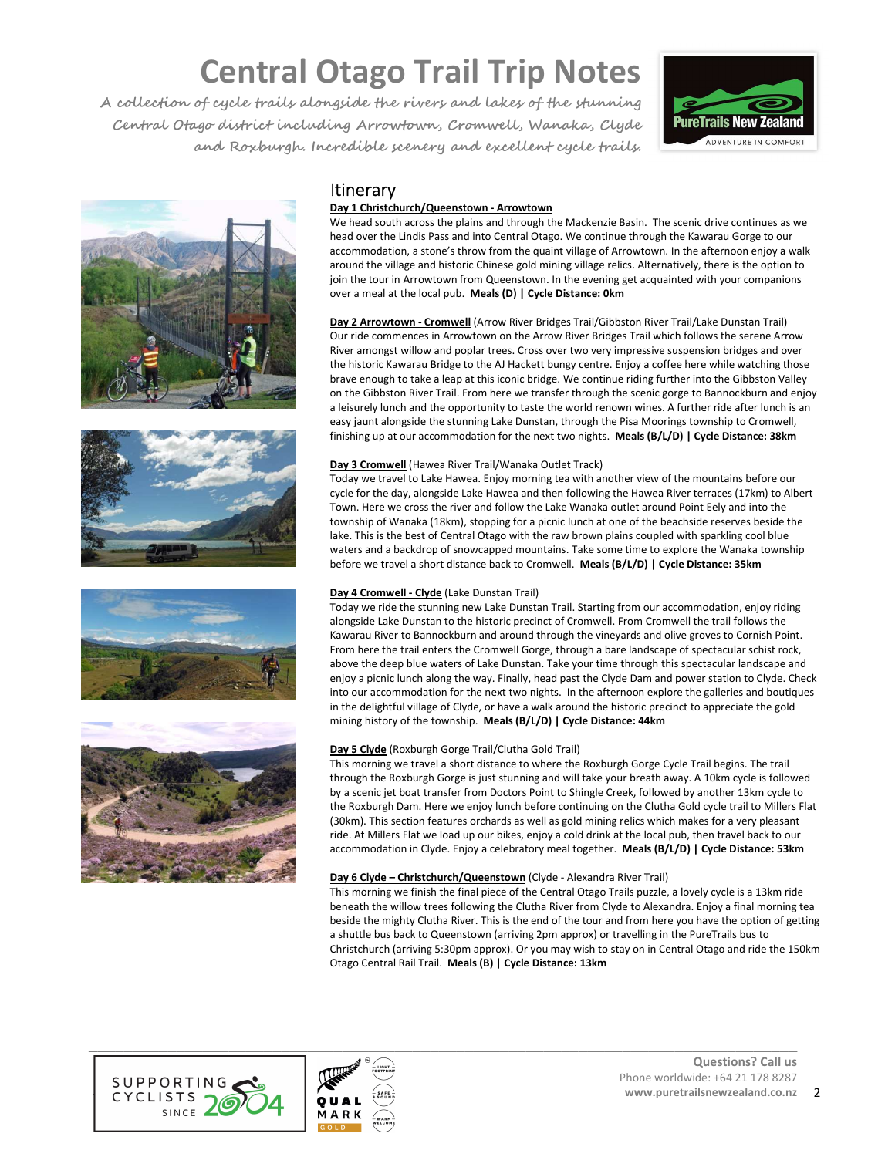**A collection of cycle trails alongside the rivers and lakes of the stunning Central Otago district including Arrowtown, Cromwell, Wanaka, Clyde and Roxburgh. Incredible scenery and excellent cycle trails.** 











## **Itinerary**

## **Day 1 Christchurch/Queenstown - Arrowtown**

We head south across the plains and through the Mackenzie Basin. The scenic drive continues as we head over the Lindis Pass and into Central Otago. We continue through the Kawarau Gorge to our accommodation, a stone's throw from the quaint village of Arrowtown. In the afternoon enjoy a walk around the village and historic Chinese gold mining village relics. Alternatively, there is the option to join the tour in Arrowtown from Queenstown. In the evening get acquainted with your companions over a meal at the local pub. **Meals (D) | Cycle Distance: 0km**

**Day 2 Arrowtown - Cromwell** (Arrow River Bridges Trail/Gibbston River Trail/Lake Dunstan Trail) Our ride commences in Arrowtown on the Arrow River Bridges Trail which follows the serene Arrow River amongst willow and poplar trees. Cross over two very impressive suspension bridges and over the historic Kawarau Bridge to the AJ Hackett bungy centre. Enjoy a coffee here while watching those brave enough to take a leap at this iconic bridge. We continue riding further into the Gibbston Valley on the Gibbston River Trail. From here we transfer through the scenic gorge to Bannockburn and enjoy a leisurely lunch and the opportunity to taste the world renown wines. A further ride after lunch is an easy jaunt alongside the stunning Lake Dunstan, through the Pisa Moorings township to Cromwell, finishing up at our accommodation for the next two nights. **Meals (B/L/D) | Cycle Distance: 38km**

## **Day 3 Cromwell** (Hawea River Trail/Wanaka Outlet Track)

Today we travel to Lake Hawea. Enjoy morning tea with another view of the mountains before our cycle for the day, alongside Lake Hawea and then following the Hawea River terraces (17km) to Albert Town. Here we cross the river and follow the Lake Wanaka outlet around Point Eely and into the township of Wanaka (18km), stopping for a picnic lunch at one of the beachside reserves beside the lake. This is the best of Central Otago with the raw brown plains coupled with sparkling cool blue waters and a backdrop of snowcapped mountains. Take some time to explore the Wanaka township before we travel a short distance back to Cromwell. **Meals (B/L/D) | Cycle Distance: 35km**

### **Day 4 Cromwell - Clyde** (Lake Dunstan Trail)

Today we ride the stunning new Lake Dunstan Trail. Starting from our accommodation, enjoy riding alongside Lake Dunstan to the historic precinct of Cromwell. From Cromwell the trail follows the Kawarau River to Bannockburn and around through the vineyards and olive groves to Cornish Point. From here the trail enters the Cromwell Gorge, through a bare landscape of spectacular schist rock, above the deep blue waters of Lake Dunstan. Take your time through this spectacular landscape and enjoy a picnic lunch along the way. Finally, head past the Clyde Dam and power station to Clyde. Check into our accommodation for the next two nights. In the afternoon explore the galleries and boutiques in the delightful village of Clyde, or have a walk around the historic precinct to appreciate the gold mining history of the township. **Meals (B/L/D) | Cycle Distance: 44km**

### **Day 5 Clyde** (Roxburgh Gorge Trail/Clutha Gold Trail)

This morning we travel a short distance to where the Roxburgh Gorge Cycle Trail begins. The trail through the Roxburgh Gorge is just stunning and will take your breath away. A 10km cycle is followed by a scenic jet boat transfer from Doctors Point to Shingle Creek, followed by another 13km cycle to the Roxburgh Dam. Here we enjoy lunch before continuing on the Clutha Gold cycle trail to Millers Flat (30km). This section features orchards as well as gold mining relics which makes for a very pleasant ride. At Millers Flat we load up our bikes, enjoy a cold drink at the local pub, then travel back to our accommodation in Clyde. Enjoy a celebratory meal together. **Meals (B/L/D) | Cycle Distance: 53km**

### **Day 6 Clyde – Christchurch/Queenstown** (Clyde - Alexandra River Trail)

This morning we finish the final piece of the Central Otago Trails puzzle, a lovely cycle is a 13km ride beneath the willow trees following the Clutha River from Clyde to Alexandra. Enjoy a final morning tea beside the mighty Clutha River. This is the end of the tour and from here you have the option of getting a shuttle bus back to Queenstown (arriving 2pm approx) or travelling in the PureTrails bus to Christchurch (arriving 5:30pm approx). Or you may wish to stay on in Central Otago and ride the 150km Otago Central Rail Trail. **Meals (B) | Cycle Distance: 13km**



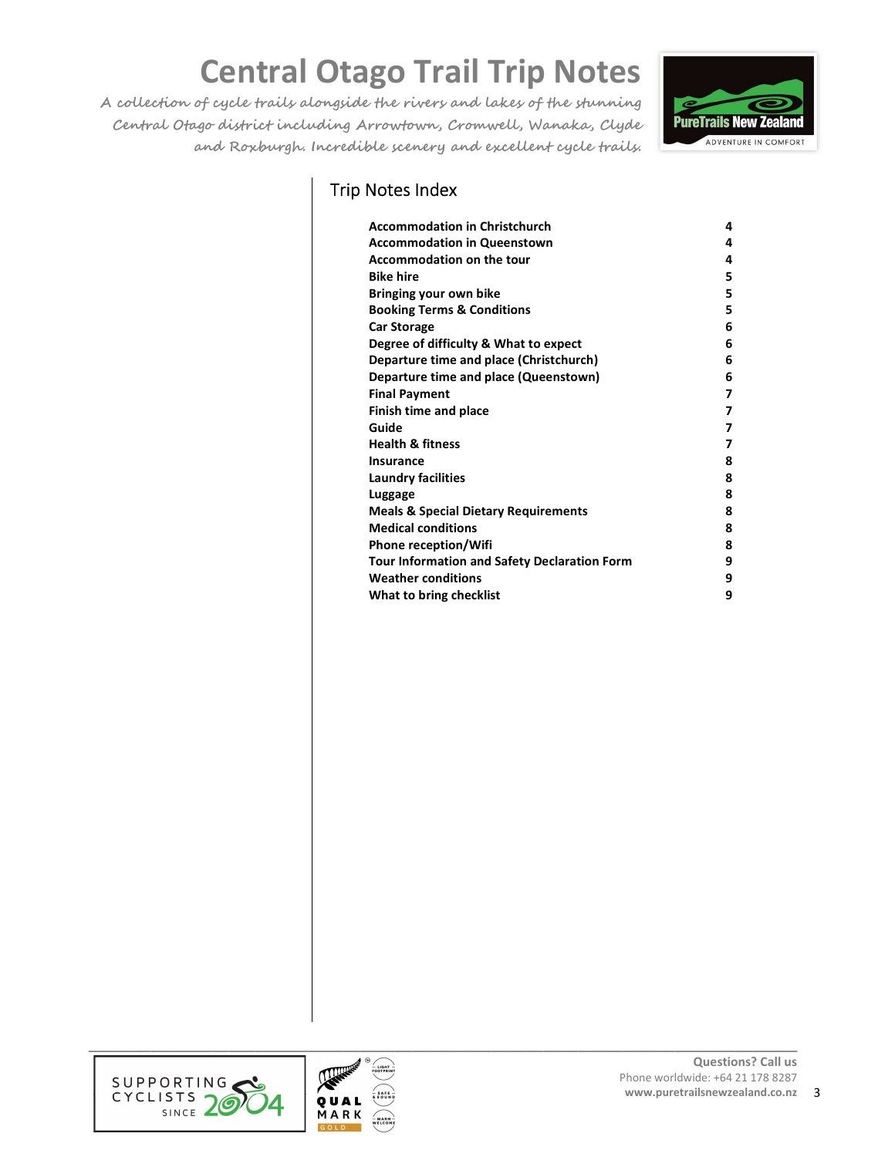**A collection of cycle trails alongside the rivers and lakes of the stunning Central Otago district including Arrowtown, Cromwell, Wanaka, Clyde and Roxburgh. Incredible scenery and excellent cycle trails.** 



## Trip Notes Index

| <b>Accommodation in Christchurch</b>                | 4 |
|-----------------------------------------------------|---|
| <b>Accommodation in Queenstown</b>                  | 4 |
| <b>Accommodation on the tour</b>                    | 4 |
| <b>Bike hire</b>                                    | 5 |
| Bringing your own bike                              | 5 |
| <b>Booking Terms &amp; Conditions</b>               | 5 |
| <b>Car Storage</b>                                  | 6 |
| Degree of difficulty & What to expect               | 6 |
| Departure time and place (Christchurch)             | 6 |
| Departure time and place (Queenstown)               | 6 |
| <b>Final Payment</b>                                | 7 |
| <b>Finish time and place</b>                        | 7 |
| Guide                                               | 7 |
| <b>Health &amp; fitness</b>                         | 7 |
| Insurance                                           | 8 |
| Laundry facilities                                  | 8 |
| Luggage                                             | 8 |
| <b>Meals &amp; Special Dietary Requirements</b>     | 8 |
| <b>Medical conditions</b>                           | 8 |
| <b>Phone reception/Wifi</b>                         | 8 |
| <b>Tour Information and Safety Declaration Form</b> | 9 |
| <b>Weather conditions</b>                           | 9 |
| What to bring checklist                             | 9 |



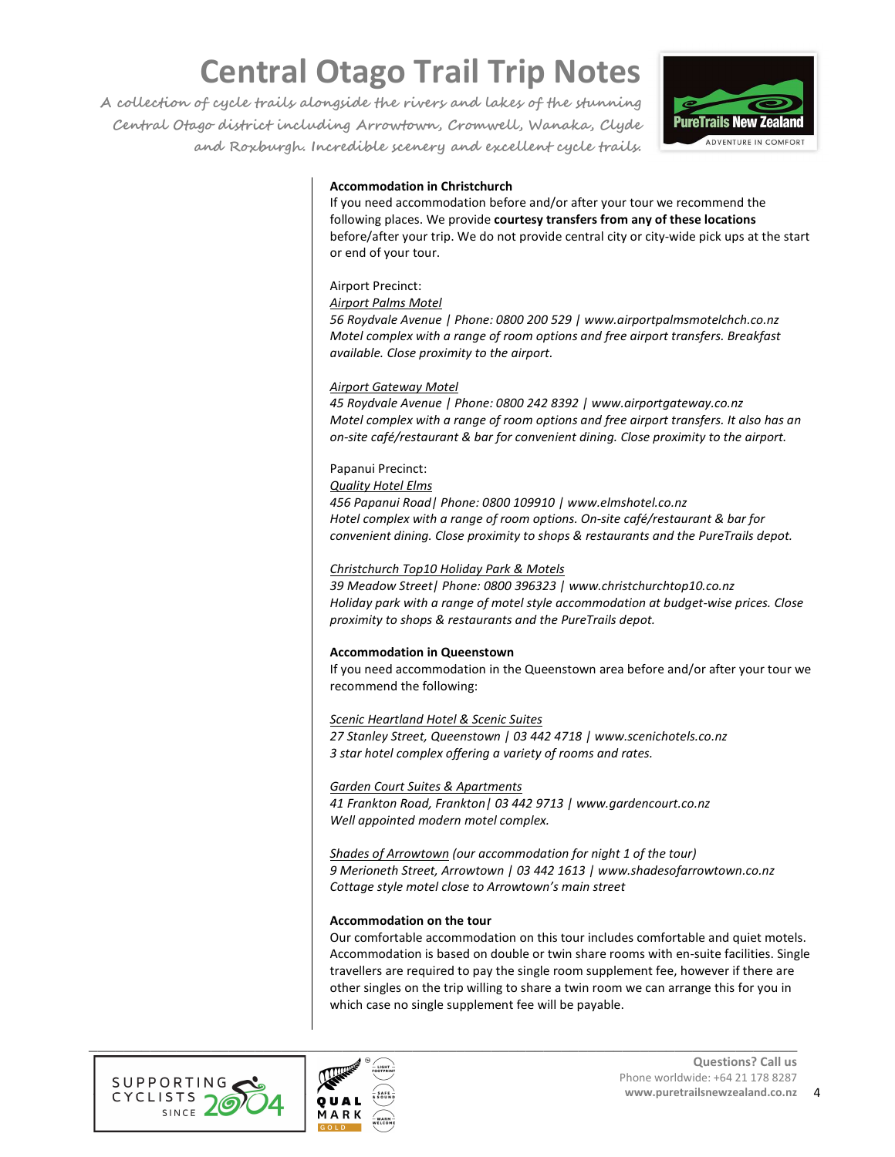**A collection of cycle trails alongside the rivers and lakes of the stunning Central Otago district including Arrowtown, Cromwell, Wanaka, Clyde and Roxburgh. Incredible scenery and excellent cycle trails.** 



## **Accommodation in Christchurch**

If you need accommodation before and/or after your tour we recommend the following places. We provide **courtesy transfers from any of these locations** before/after your trip. We do not provide central city or city-wide pick ups at the start or end of your tour.

## Airport Precinct:

#### *Airport Palms Motel*

*56 Roydvale Avenue | Phone: 0800 200 529 | www.airportpalmsmotelchch.co.nz Motel complex with a range of room options and free airport transfers. Breakfast available. Close proximity to the airport.* 

## *Airport Gateway Motel*

*45 Roydvale Avenue | Phone: 0800 242 8392 | www.airportgateway.co.nz Motel complex with a range of room options and free airport transfers. It also has an on-site café/restaurant & bar for convenient dining. Close proximity to the airport.* 

### Papanui Precinct:

*Quality Hotel Elms* 

*456 Papanui Road| Phone: 0800 109910 | www.elmshotel.co.nz Hotel complex with a range of room options. On-site café/restaurant & bar for convenient dining. Close proximity to shops & restaurants and the PureTrails depot.* 

## *Christchurch Top10 Holiday Park & Motels*

*39 Meadow Street| Phone: 0800 396323 | www.christchurchtop10.co.nz Holiday park with a range of motel style accommodation at budget-wise prices. Close proximity to shops & restaurants and the PureTrails depot.* 

### **Accommodation in Queenstown**

If you need accommodation in the Queenstown area before and/or after your tour we recommend the following:

### *Scenic Heartland Hotel & Scenic Suites*

*27 Stanley Street, Queenstown | 03 442 4718 | www.scenichotels.co.nz 3 star hotel complex offering a variety of rooms and rates.* 

### *Garden Court Suites & Apartments*

*41 Frankton Road, Frankton| 03 442 9713 | www.gardencourt.co.nz Well appointed modern motel complex.* 

*Shades of Arrowtown (our accommodation for night 1 of the tour) 9 Merioneth Street, Arrowtown | 03 442 1613 | www.shadesofarrowtown.co.nz Cottage style motel close to Arrowtown's main street* 

### **Accommodation on the tour**

Our comfortable accommodation on this tour includes comfortable and quiet motels. Accommodation is based on double or twin share rooms with en-suite facilities. Single travellers are required to pay the single room supplement fee, however if there are other singles on the trip willing to share a twin room we can arrange this for you in which case no single supplement fee will be payable.



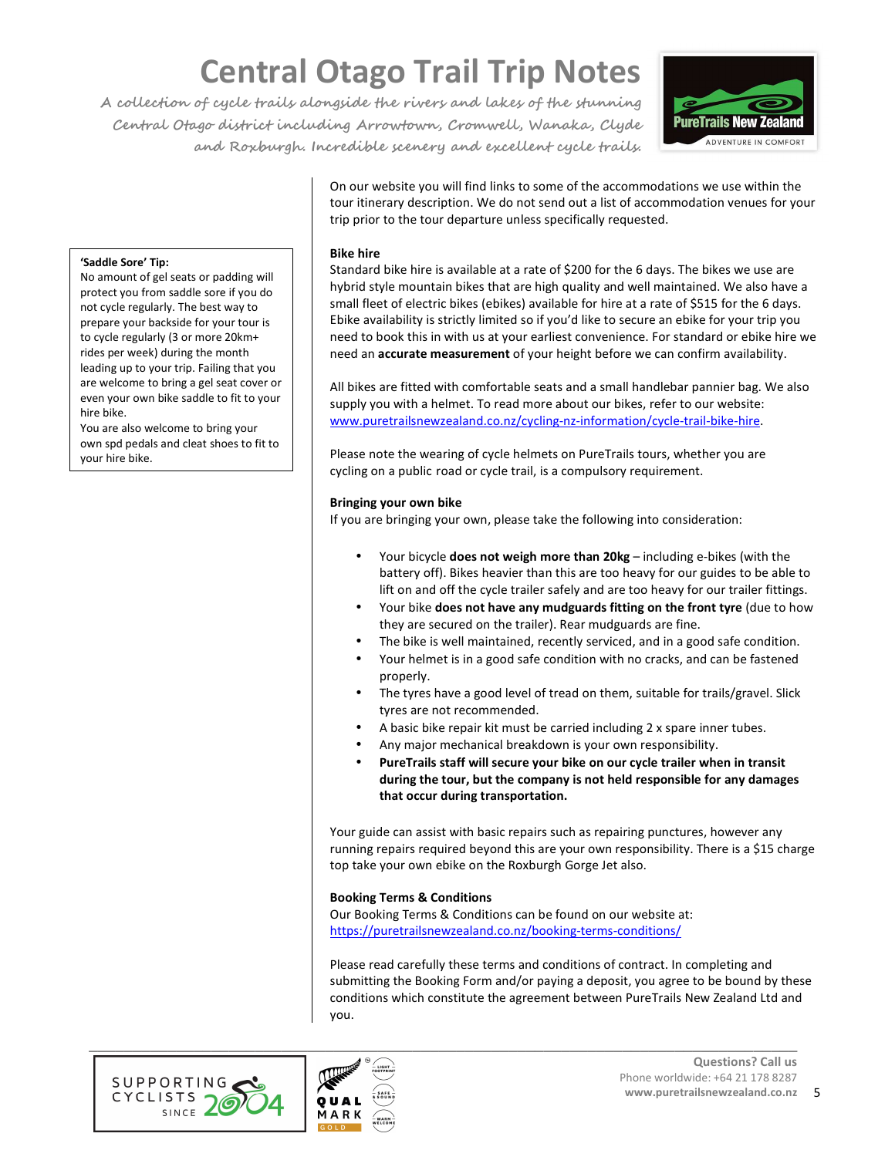**A collection of cycle trails alongside the rivers and lakes of the stunning Central Otago district including Arrowtown, Cromwell, Wanaka, Clyde and Roxburgh. Incredible scenery and excellent cycle trails.** 



On our website you will find links to some of the accommodations we use within the tour itinerary description. We do not send out a list of accommodation venues for your trip prior to the tour departure unless specifically requested.

## **Bike hire**

**'Saddle Sore' Tip:** 

hire bike.

your hire bike.

No amount of gel seats or padding will protect you from saddle sore if you do not cycle regularly. The best way to prepare your backside for your tour is to cycle regularly (3 or more 20km+ rides per week) during the month leading up to your trip. Failing that you are welcome to bring a gel seat cover or even your own bike saddle to fit to your

You are also welcome to bring your own spd pedals and cleat shoes to fit to Standard bike hire is available at a rate of \$200 for the 6 days. The bikes we use are hybrid style mountain bikes that are high quality and well maintained. We also have a small fleet of electric bikes (ebikes) available for hire at a rate of \$515 for the 6 days. Ebike availability is strictly limited so if you'd like to secure an ebike for your trip you need to book this in with us at your earliest convenience. For standard or ebike hire we need an **accurate measurement** of your height before we can confirm availability.

All bikes are fitted with comfortable seats and a small handlebar pannier bag. We also supply you with a helmet. To read more about our bikes, refer to our website: www.puretrailsnewzealand.co.nz/cycling-nz-information/cycle-trail-bike-hire.

Please note the wearing of cycle helmets on PureTrails tours, whether you are cycling on a public road or cycle trail, is a compulsory requirement.

## **Bringing your own bike**

If you are bringing your own, please take the following into consideration:

- Your bicycle **does not weigh more than 20kg** including e-bikes (with the battery off). Bikes heavier than this are too heavy for our guides to be able to lift on and off the cycle trailer safely and are too heavy for our trailer fittings.
- Your bike **does not have any mudguards fitting on the front tyre** (due to how they are secured on the trailer). Rear mudguards are fine.
- The bike is well maintained, recently serviced, and in a good safe condition.
- Your helmet is in a good safe condition with no cracks, and can be fastened properly.
- The tyres have a good level of tread on them, suitable for trails/gravel. Slick tyres are not recommended.
- A basic bike repair kit must be carried including 2 x spare inner tubes.
- Any major mechanical breakdown is your own responsibility.
- **PureTrails staff will secure your bike on our cycle trailer when in transit during the tour, but the company is not held responsible for any damages that occur during transportation.**

Your guide can assist with basic repairs such as repairing punctures, however any running repairs required beyond this are your own responsibility. There is a \$15 charge top take your own ebike on the Roxburgh Gorge Jet also.

## **Booking Terms & Conditions**

Our Booking Terms & Conditions can be found on our website at: https://puretrailsnewzealand.co.nz/booking-terms-conditions/

Please read carefully these terms and conditions of contract. In completing and submitting the Booking Form and/or paying a deposit, you agree to be bound by these conditions which constitute the agreement between PureTrails New Zealand Ltd and you.



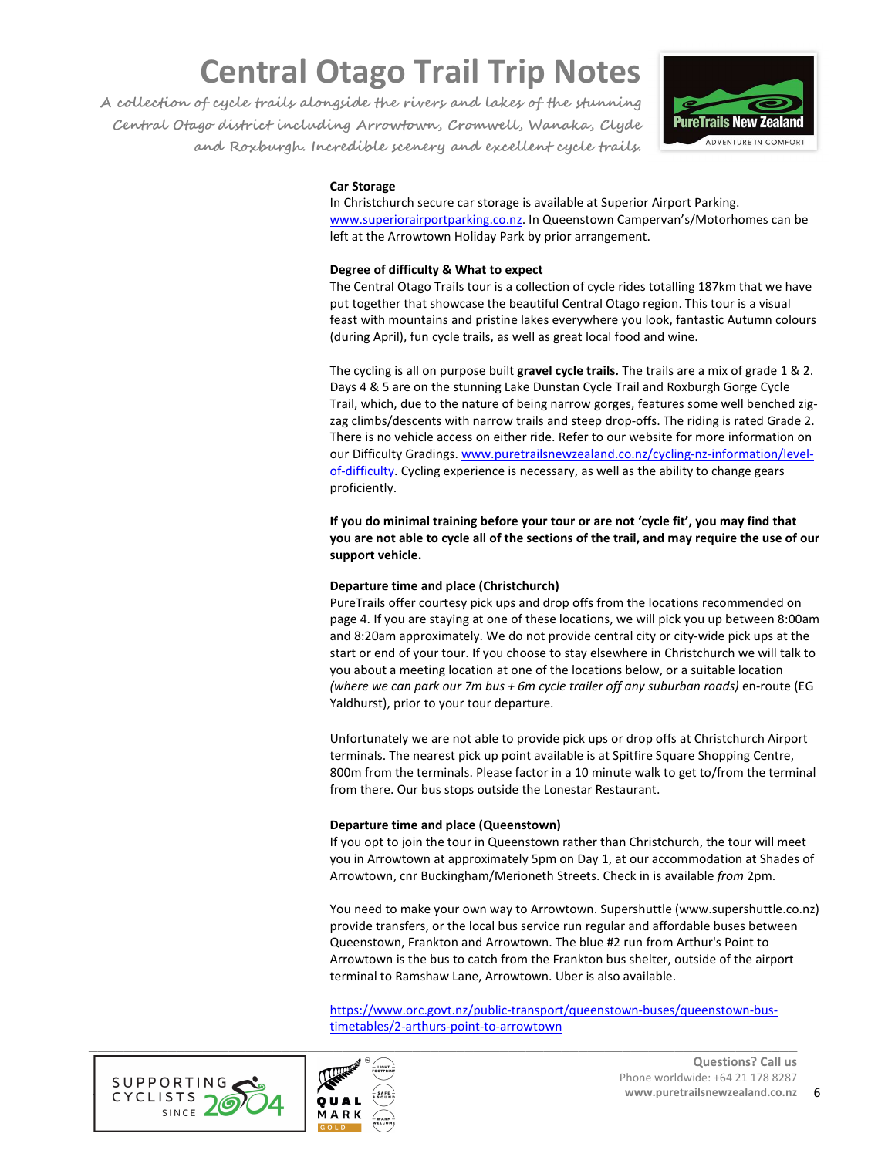**A collection of cycle trails alongside the rivers and lakes of the stunning Central Otago district including Arrowtown, Cromwell, Wanaka, Clyde and Roxburgh. Incredible scenery and excellent cycle trails.** 



## **Car Storage**

In Christchurch secure car storage is available at Superior Airport Parking. www.superiorairportparking.co.nz. In Queenstown Campervan's/Motorhomes can be left at the Arrowtown Holiday Park by prior arrangement.

## **Degree of difficulty & What to expect**

The Central Otago Trails tour is a collection of cycle rides totalling 187km that we have put together that showcase the beautiful Central Otago region. This tour is a visual feast with mountains and pristine lakes everywhere you look, fantastic Autumn colours (during April), fun cycle trails, as well as great local food and wine.

The cycling is all on purpose built **gravel cycle trails.** The trails are a mix of grade 1 & 2. Days 4 & 5 are on the stunning Lake Dunstan Cycle Trail and Roxburgh Gorge Cycle Trail, which, due to the nature of being narrow gorges, features some well benched zigzag climbs/descents with narrow trails and steep drop-offs. The riding is rated Grade 2. There is no vehicle access on either ride. Refer to our website for more information on our Difficulty Gradings. www.puretrailsnewzealand.co.nz/cycling-nz-information/levelof-difficulty. Cycling experience is necessary, as well as the ability to change gears proficiently.

**If you do minimal training before your tour or are not 'cycle fit', you may find that you are not able to cycle all of the sections of the trail, and may require the use of our support vehicle.** 

## **Departure time and place (Christchurch)**

PureTrails offer courtesy pick ups and drop offs from the locations recommended on page 4. If you are staying at one of these locations, we will pick you up between 8:00am and 8:20am approximately. We do not provide central city or city-wide pick ups at the start or end of your tour. If you choose to stay elsewhere in Christchurch we will talk to you about a meeting location at one of the locations below, or a suitable location *(where we can park our 7m bus + 6m cycle trailer off any suburban roads)* en-route (EG Yaldhurst), prior to your tour departure.

Unfortunately we are not able to provide pick ups or drop offs at Christchurch Airport terminals. The nearest pick up point available is at Spitfire Square Shopping Centre, 800m from the terminals. Please factor in a 10 minute walk to get to/from the terminal from there. Our bus stops outside the Lonestar Restaurant.

## **Departure time and place (Queenstown)**

If you opt to join the tour in Queenstown rather than Christchurch, the tour will meet you in Arrowtown at approximately 5pm on Day 1, at our accommodation at Shades of Arrowtown, cnr Buckingham/Merioneth Streets. Check in is available *from* 2pm.

You need to make your own way to Arrowtown. Supershuttle (www.supershuttle.co.nz) provide transfers, or the local bus service run regular and affordable buses between Queenstown, Frankton and Arrowtown. The blue #2 run from Arthur's Point to Arrowtown is the bus to catch from the Frankton bus shelter, outside of the airport terminal to Ramshaw Lane, Arrowtown. Uber is also available.

https://www.orc.govt.nz/public-transport/queenstown-buses/queenstown-bustimetables/2-arthurs-point-to-arrowtown



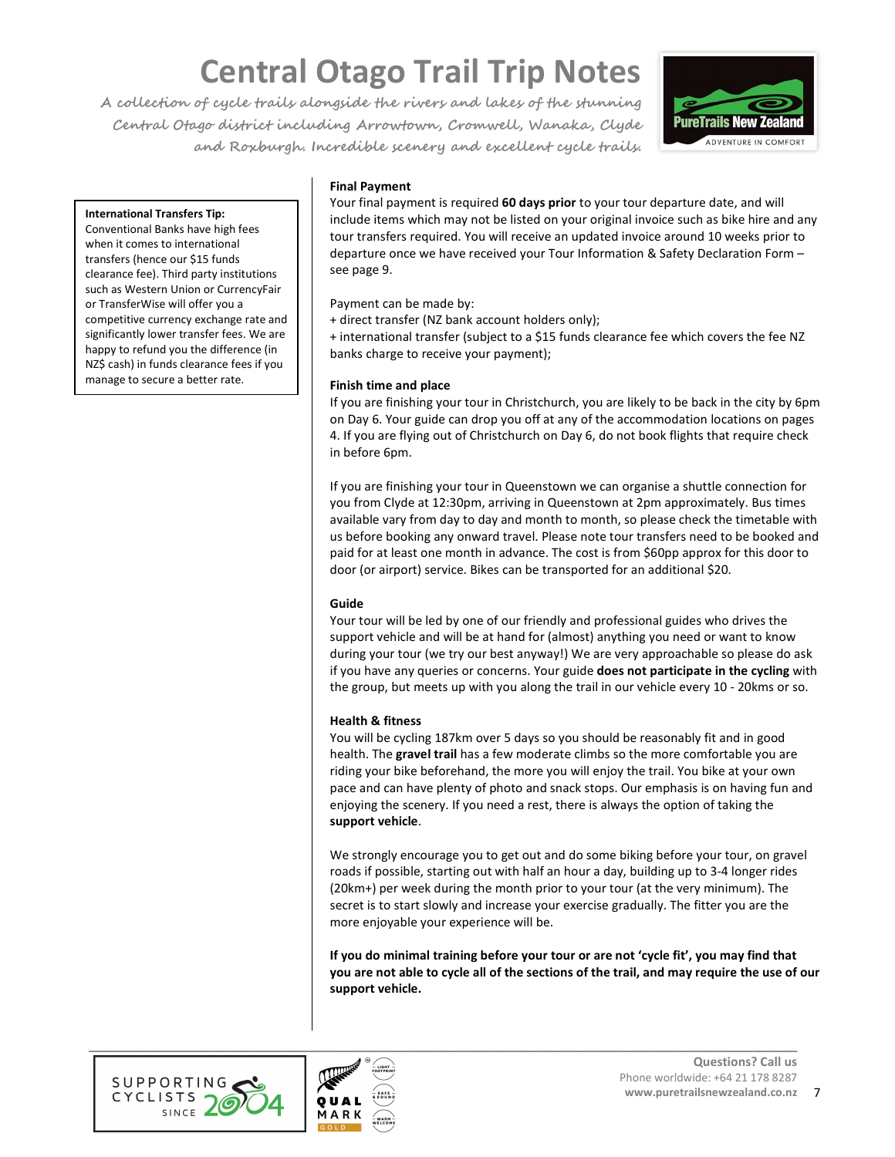**A collection of cycle trails alongside the rivers and lakes of the stunning Central Otago district including Arrowtown, Cromwell, Wanaka, Clyde and Roxburgh. Incredible scenery and excellent cycle trails.** 



### **International Transfers Tip:**

Conventional Banks have high fees when it comes to international transfers (hence our \$15 funds clearance fee). Third party institutions such as Western Union or CurrencyFair or TransferWise will offer you a competitive currency exchange rate and significantly lower transfer fees. We are happy to refund you the difference (in NZ\$ cash) in funds clearance fees if you manage to secure a better rate.

## **Final Payment**

Your final payment is required **60 days prior** to your tour departure date, and will include items which may not be listed on your original invoice such as bike hire and any tour transfers required. You will receive an updated invoice around 10 weeks prior to departure once we have received your Tour Information & Safety Declaration Form – see page 9.

Payment can be made by:

+ direct transfer (NZ bank account holders only);

+ international transfer (subject to a \$15 funds clearance fee which covers the fee NZ banks charge to receive your payment);

## **Finish time and place**

If you are finishing your tour in Christchurch, you are likely to be back in the city by 6pm on Day 6. Your guide can drop you off at any of the accommodation locations on pages 4. If you are flying out of Christchurch on Day 6, do not book flights that require check in before 6pm.

If you are finishing your tour in Queenstown we can organise a shuttle connection for you from Clyde at 12:30pm, arriving in Queenstown at 2pm approximately. Bus times available vary from day to day and month to month, so please check the timetable with us before booking any onward travel. Please note tour transfers need to be booked and paid for at least one month in advance. The cost is from \$60pp approx for this door to door (or airport) service. Bikes can be transported for an additional \$20.

## **Guide**

Your tour will be led by one of our friendly and professional guides who drives the support vehicle and will be at hand for (almost) anything you need or want to know during your tour (we try our best anyway!) We are very approachable so please do ask if you have any queries or concerns. Your guide **does not participate in the cycling** with the group, but meets up with you along the trail in our vehicle every 10 - 20kms or so.

### **Health & fitness**

You will be cycling 187km over 5 days so you should be reasonably fit and in good health. The **gravel trail** has a few moderate climbs so the more comfortable you are riding your bike beforehand, the more you will enjoy the trail. You bike at your own pace and can have plenty of photo and snack stops. Our emphasis is on having fun and enjoying the scenery. If you need a rest, there is always the option of taking the **support vehicle**.

We strongly encourage you to get out and do some biking before your tour, on gravel roads if possible, starting out with half an hour a day, building up to 3-4 longer rides (20km+) per week during the month prior to your tour (at the very minimum). The secret is to start slowly and increase your exercise gradually. The fitter you are the more enjoyable your experience will be.

**If you do minimal training before your tour or are not 'cycle fit', you may find that you are not able to cycle all of the sections of the trail, and may require the use of our support vehicle.** 



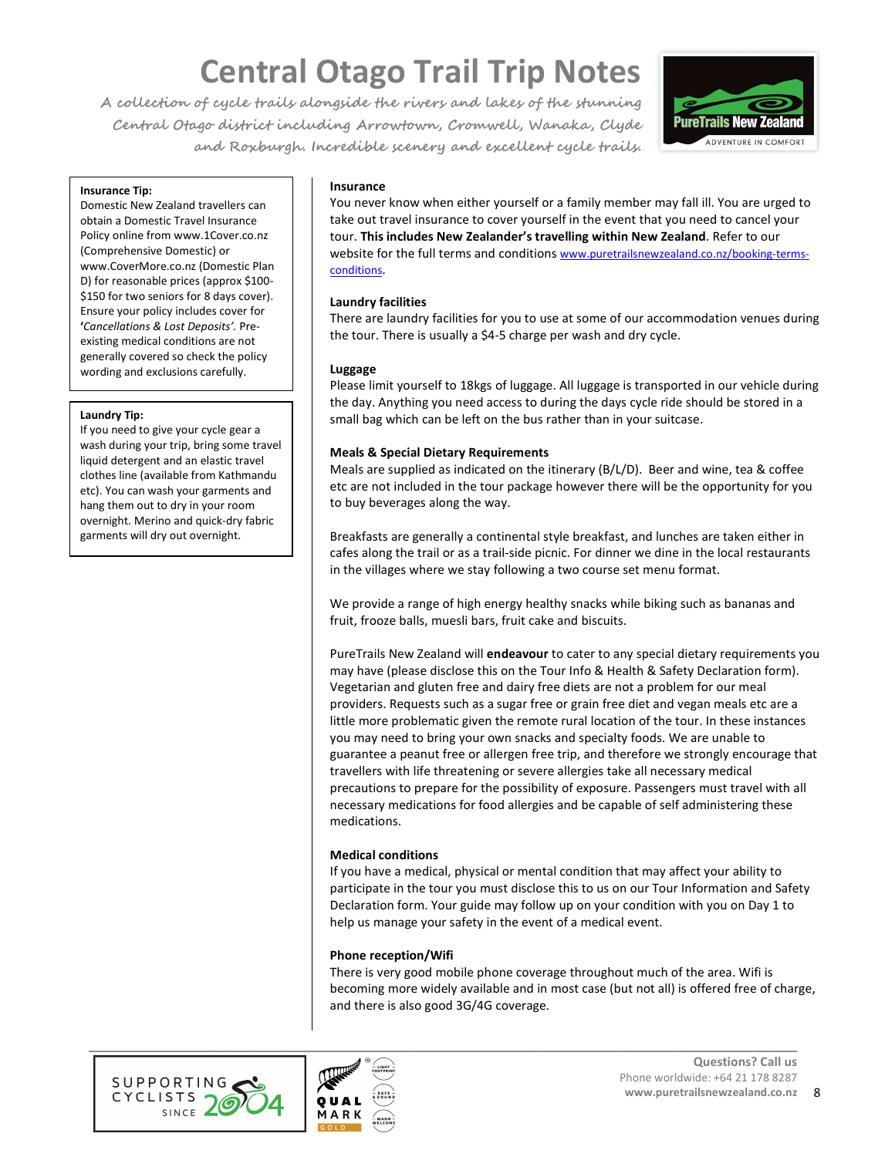**A collection of cycle trails alongside the rivers and lakes of the stunning Central Otago district including Arrowtown, Cromwell, Wanaka, Clyde and Roxburgh. Incredible scenery and excellent cycle trails.** 



#### **Insurance Tip:**

Domestic New Zealand travellers can obtain a Domestic Travel Insurance Policy online from www.1Cover.co.nz (Comprehensive Domestic) or www.CoverMore.co.nz (Domestic Plan D) for reasonable prices (approx \$100- \$150 for two seniors for 8 days cover). Ensure your policy includes cover for **'***Cancellations & Lost Deposits'.* Preexisting medical conditions are not generally covered so check the policy wording and exclusions carefully.

#### **Laundry Tip:**

If you need to give your cycle gear a wash during your trip, bring some travel liquid detergent and an elastic travel clothes line (available from Kathmandu etc). You can wash your garments and hang them out to dry in your room overnight. Merino and quick-dry fabric garments will dry out overnight.

### **Insurance**

You never know when either yourself or a family member may fall ill. You are urged to take out travel insurance to cover yourself in the event that you need to cancel your tour. **This includes New Zealander's travelling within New Zealand**. Refer to our website for the full terms and conditions www.puretrailsnewzealand.co.nz/booking-termsconditions.

### **Laundry facilities**

There are laundry facilities for you to use at some of our accommodation venues during the tour. There is usually a \$4-5 charge per wash and dry cycle.

### **Luggage**

Please limit yourself to 18kgs of luggage. All luggage is transported in our vehicle during the day. Anything you need access to during the days cycle ride should be stored in a small bag which can be left on the bus rather than in your suitcase.

## **Meals & Special Dietary Requirements**

Meals are supplied as indicated on the itinerary (B/L/D). Beer and wine, tea & coffee etc are not included in the tour package however there will be the opportunity for you to buy beverages along the way.

Breakfasts are generally a continental style breakfast, and lunches are taken either in cafes along the trail or as a trail-side picnic. For dinner we dine in the local restaurants in the villages where we stay following a two course set menu format.

We provide a range of high energy healthy snacks while biking such as bananas and fruit, frooze balls, muesli bars, fruit cake and biscuits.

PureTrails New Zealand will **endeavour** to cater to any special dietary requirements you may have (please disclose this on the Tour Info & Health & Safety Declaration form). Vegetarian and gluten free and dairy free diets are not a problem for our meal providers. Requests such as a sugar free or grain free diet and vegan meals etc are a little more problematic given the remote rural location of the tour. In these instances you may need to bring your own snacks and specialty foods. We are unable to guarantee a peanut free or allergen free trip, and therefore we strongly encourage that travellers with life threatening or severe allergies take all necessary medical precautions to prepare for the possibility of exposure. Passengers must travel with all necessary medications for food allergies and be capable of self administering these medications.

### **Medical conditions**

If you have a medical, physical or mental condition that may affect your ability to participate in the tour you must disclose this to us on our Tour Information and Safety Declaration form. Your guide may follow up on your condition with you on Day 1 to help us manage your safety in the event of a medical event.

### **Phone reception/Wifi**

There is very good mobile phone coverage throughout much of the area. Wifi is becoming more widely available and in most case (but not all) is offered free of charge, and there is also good 3G/4G coverage.